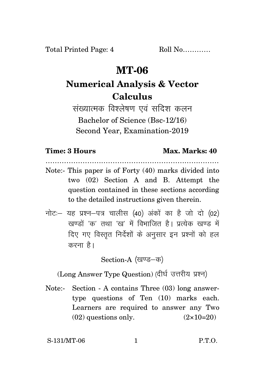Total Printed Page: 4 Roll No............

## **MT-06**

# **Numerical Analysis & Vector Calculus**

संख्यात्मक विश्लेषण एवं सदिश कलन Bachelor of Science (Bsc-12/16) Second Year, Examination-2019

### **Time: 3 Hours Max. Marks: 40**

………………………………………………………………… Note:- This paper is of Forty (40) marks divided into

- two (02) Section A and B. Attempt the question contained in these sections according to the detailed instructions given therein.
- नोट: यह प्रश्न-पत्र चालीस (40) अंकों का है जो दो (02) खण्डों *'क'* तथा 'ख' में विभाजित है। प्रत्येक खण्ड में दिए गए विस्तृत निर्देशों के अनुसार इन प्रश्नों को हल करना है।

Section-A (खण्ड-क)

(Long Answer Type Question) (दीर्घ उत्तरीय प्रश्न)

Note:- Section - A contains Three (03) long answertype questions of Ten (10) marks each. Learners are required to answer any Two  $(02)$  questions only.  $(2 \times 10=20)$ 

S-131/MT-06 1 P.T.O.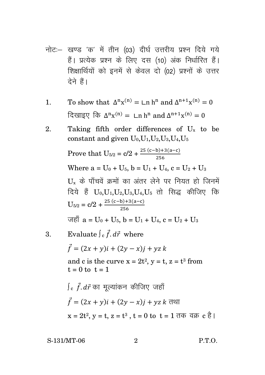- नोट:- खण्ड 'क' में तीन (03) दीर्घ उत्तरीय प्रश्न दिये गये हैं। प्रत्येक प्रश्न के लिए दस (10) अंक निर्धारित हैं। शिक्षार्थियों को इनमें से केवल दो (02) प्रश्नों के उत्तर टेने हैं।
- To show that  $\Delta^n x^{(n)} = \text{Ln } h^n$  and  $\Delta^{n+1} x^{(n)} = 0$  $1<sub>1</sub>$ दिखाइए कि  $\Delta^n$ x<sup>(n)</sup> =  $\text{Ln } h^n$  and  $\Delta^{n+1}$ x<sup>(n)</sup> = 0
- Taking fifth order differences of  $U_x$  to be  $2^{1}$ constant and given  $U_0, U_1, U_2, U_3, U_4, U_5$

Prove that 
$$
U_{5/2} = c/2 + \frac{25(c-b)+3(a-c)}{256}
$$
  
\nWhere a = U<sub>0</sub> + U<sub>5</sub>, b = U<sub>1</sub> + U<sub>4</sub>, c = U<sub>2</sub> + U<sub>3</sub>  
\nU<sub>x</sub> के पॉंचवें *s*नों का अंतर लेने पर नियत हो जिनमें  
\nदिये है $U_0, U_1, U_2, U_3, U_4, U_5$  तो सिद्ध कीजिए कि  
\n $U_{5/2} = c/2 + \frac{25(c-b)+3(a-c)}{256}$ 

$$
\overrightarrow{v} = U_0 + U_5, \quad b = U_1 + U_4, \quad c = U_2 + U_3
$$

3. Evaluate 
$$
\int_{c} \vec{f} \cdot d\vec{r}
$$
 where

$$
\vec{f} = (2x + y)\hat{i} + (2y - x)\hat{j} + yz\hat{k}
$$

and c is the curve  $x = 2t^2$ ,  $y = t$ ,  $z = t^3$  from  $t = 0$  to  $t = 1$ 

$$
\int_{c} \vec{f} \cdot d\vec{r}
$$
 का मूल्यांकन कीजिए जहाँ
$$
\vec{f} = (2x + y)i + (2y - x)j + yz k
$$
 तथा
$$
x = 2t^{2}, y = t, z = t^{3}, t = 0 \text{ to } t = 1 \text{ and } \vec{r} \text{ is } 0
$$

S-131/MT-06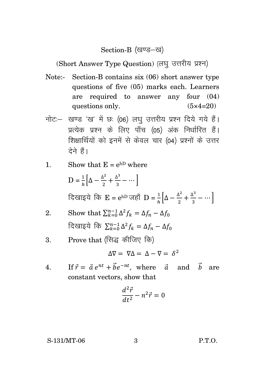### Section-B (खण्ड-ख)

(Short Answer Type Question) (लघु उत्तरीय प्रश्न)

- Note:- Section-B contains six (06) short answer type questions of five (05) marks each. Learners are required to answer any four (04) questions only.  $(5 \times 4=20)$
- नोट: खण्ड 'ख' में छः (06) लघु उत्तरीय प्रश्न दिये गये हैं। प्रत्येक प्रश्न के लिए पाँच (05) अंक निर्धारित हैं। शिक्षार्थियों को इनमें से केवल चार (04) प्रश्नों के उत्तर देने हैं।

1. Show that 
$$
E = e^{hD}
$$
 where

$$
D = \frac{1}{h} \left[ \Delta - \frac{\Delta^2}{2} + \frac{\Delta^3}{3} - \cdots \right]
$$
  
दिखाइये  $\overline{P}$  E = e<sup>hD</sup> जहाँ D =  $\frac{1}{h} \left[ \Delta - \frac{\Delta^2}{2} + \frac{\Delta^3}{3} - \cdots \right]$ 

2. Show that 
$$
\sum_{k=0}^{n-1} \Delta^2 f_k = \Delta f_n - \Delta f_0
$$
  
दिखाइये कि 
$$
\sum_{k=0}^{n-1} \Delta^2 f_k = \Delta f_n - \Delta f_0
$$

3. Prove that (सिद्ध कीजिए कि)

$$
\Delta \nabla = \nabla \Delta = \Delta - \nabla = \delta^2
$$

4. If  $\vec{r} = \vec{a} e^{nt} + \vec{b} e^{-nt}$ , where  $\vec{a}$  and  $\vec{b}$  are constant vectors, show that

$$
\frac{d^2\vec{r}}{dt^2} - n^2\vec{r} = 0
$$

S-131/MT-06 3 P.T.O.